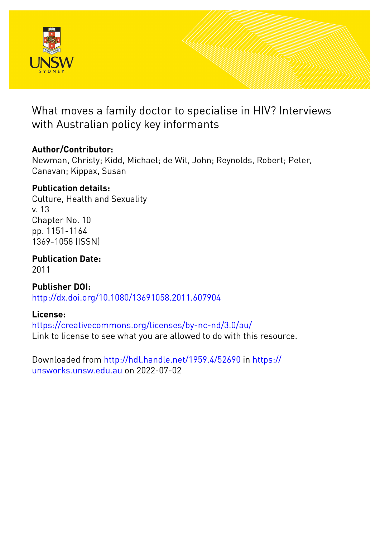

What moves a family doctor to specialise in HIV? Interviews with Australian policy key informants

# **Author/Contributor:**

Newman, Christy; Kidd, Michael; de Wit, John; Reynolds, Robert; Peter, Canavan; Kippax, Susan

# **Publication details:**

Culture, Health and Sexuality v. 13 Chapter No. 10 pp. 1151-1164 1369-1058 (ISSN)

**Publication Date:** 2011

**Publisher DOI:** [http://dx.doi.org/10.1080/13691058.2011.607904](http://dx.doi.org/http://dx.doi.org/10.1080/13691058.2011.607904)

## **License:**

<https://creativecommons.org/licenses/by-nc-nd/3.0/au/> Link to license to see what you are allowed to do with this resource.

Downloaded from <http://hdl.handle.net/1959.4/52690> in [https://](https://unsworks.unsw.edu.au) [unsworks.unsw.edu.au](https://unsworks.unsw.edu.au) on 2022-07-02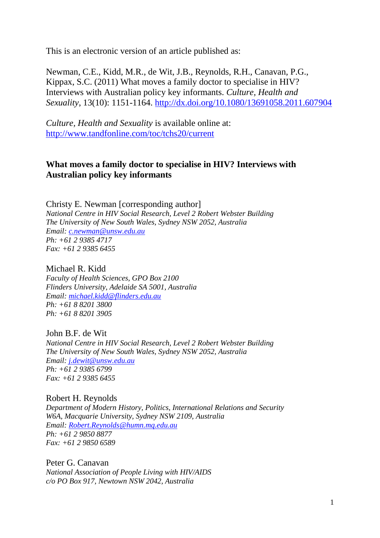This is an electronic version of an article published as:

Newman, C.E., Kidd, M.R., de Wit, J.B., Reynolds, R.H., Canavan, P.G., Kippax, S.C. (2011) What moves a family doctor to specialise in HIV? Interviews with Australian policy key informants. *Culture, Health and Sexuality*, 13(10): 1151-1164.<http://dx.doi.org/10.1080/13691058.2011.607904>

*Culture, Health and Sexuality* is available online at: <http://www.tandfonline.com/toc/tchs20/current>

## **What moves a family doctor to specialise in HIV? Interviews with Australian policy key informants**

Christy E. Newman [corresponding author] *National Centre in HIV Social Research, Level 2 Robert Webster Building The University of New South Wales, Sydney NSW 2052, Australia Email: [c.newman@unsw.edu.au](mailto:c.newman@unsw.edu.au) Ph: +61 2 9385 4717 Fax: +61 2 9385 6455*

Michael R. Kidd *Faculty of Health Sciences, GPO Box 2100 Flinders University, Adelaide SA 5001, Australia Email: [michael.kidd@flinders.edu.au](mailto:michael.kidd@flinders.edu.au) Ph: +61 8 8201 3800 Ph: +61 8 8201 3905*

### John B.F. de Wit

*National Centre in HIV Social Research, Level 2 Robert Webster Building The University of New South Wales, Sydney NSW 2052, Australia Email: [j.dewit@unsw.edu.au](mailto:j.dewit@unsw.edu.au) Ph: +61 2 9385 6799 Fax: +61 2 9385 6455*

Robert H. Reynolds *Department of Modern History, Politics, International Relations and Security W6A, Macquarie University, Sydney NSW 2109, Australia Email: [Robert.Reynolds@humn.mq.edu.au](mailto:Robert.Reynolds@humn.mq.edu.au) Ph: +61 2 9850 8877 Fax: +61 2 9850 6589*

Peter G. Canavan *National Association of People Living with HIV/AIDS c/o PO Box 917, Newtown NSW 2042, Australia*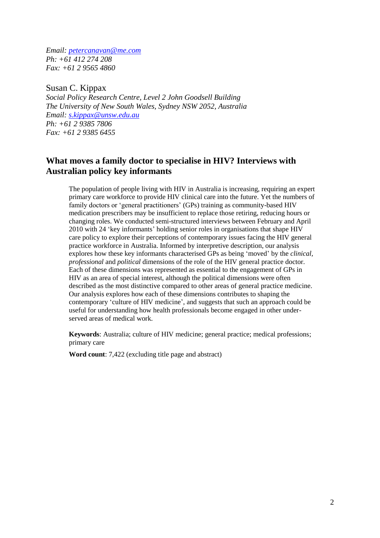*Email: [petercanavan@me.com](mailto:petercanavan@me.com) Ph: +61 412 274 208 Fax: +61 2 9565 4860*

Susan C. Kippax *Social Policy Research Centre, Level 2 John Goodsell Building The University of New South Wales, Sydney NSW 2052, Australia Email: [s.kippax@unsw.edu.au](mailto:s.kippax@unsw.edu.au) Ph: +61 2 9385 7806 Fax: +61 2 9385 6455*

### **What moves a family doctor to specialise in HIV? Interviews with Australian policy key informants**

The population of people living with HIV in Australia is increasing, requiring an expert primary care workforce to provide HIV clinical care into the future. Yet the numbers of family doctors or 'general practitioners' (GPs) training as community-based HIV medication prescribers may be insufficient to replace those retiring, reducing hours or changing roles. We conducted semi-structured interviews between February and April 2010 with 24 'key informants' holding senior roles in organisations that shape HIV care policy to explore their perceptions of contemporary issues facing the HIV general practice workforce in Australia. Informed by interpretive description, our analysis explores how these key informants characterised GPs as being 'moved' by the *clinical, professional* and *political* dimensions of the role of the HIV general practice doctor. Each of these dimensions was represented as essential to the engagement of GPs in HIV as an area of special interest, although the political dimensions were often described as the most distinctive compared to other areas of general practice medicine. Our analysis explores how each of these dimensions contributes to shaping the contemporary 'culture of HIV medicine', and suggests that such an approach could be useful for understanding how health professionals become engaged in other underserved areas of medical work.

**Keywords**: Australia; culture of HIV medicine; general practice; medical professions; primary care

**Word count**: 7,422 (excluding title page and abstract)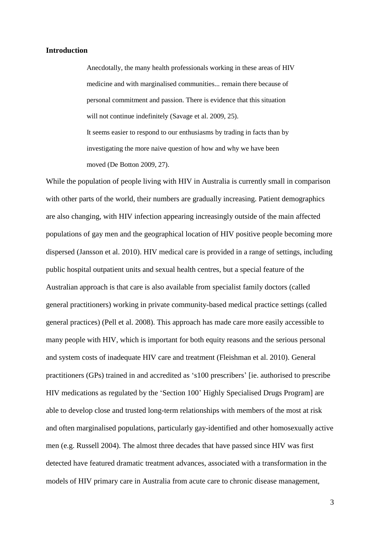#### **Introduction**

Anecdotally, the many health professionals working in these areas of HIV medicine and with marginalised communities... remain there because of personal commitment and passion. There is evidence that this situation will not continue indefinitely (Savage et al. 2009, 25). It seems easier to respond to our enthusiasms by trading in facts than by investigating the more naive question of how and why we have been moved (De Botton 2009, 27).

While the population of people living with HIV in Australia is currently small in comparison with other parts of the world, their numbers are gradually increasing. Patient demographics are also changing, with HIV infection appearing increasingly outside of the main affected populations of gay men and the geographical location of HIV positive people becoming more dispersed (Jansson et al. 2010). HIV medical care is provided in a range of settings, including public hospital outpatient units and sexual health centres, but a special feature of the Australian approach is that care is also available from specialist family doctors (called general practitioners) working in private community-based medical practice settings (called general practices) (Pell et al. 2008). This approach has made care more easily accessible to many people with HIV, which is important for both equity reasons and the serious personal and system costs of inadequate HIV care and treatment (Fleishman et al. 2010). General practitioners (GPs) trained in and accredited as 's100 prescribers' [ie. authorised to prescribe HIV medications as regulated by the 'Section 100' Highly Specialised Drugs Program] are able to develop close and trusted long-term relationships with members of the most at risk and often marginalised populations, particularly gay-identified and other homosexually active men (e.g. Russell 2004). The almost three decades that have passed since HIV was first detected have featured dramatic treatment advances, associated with a transformation in the models of HIV primary care in Australia from acute care to chronic disease management,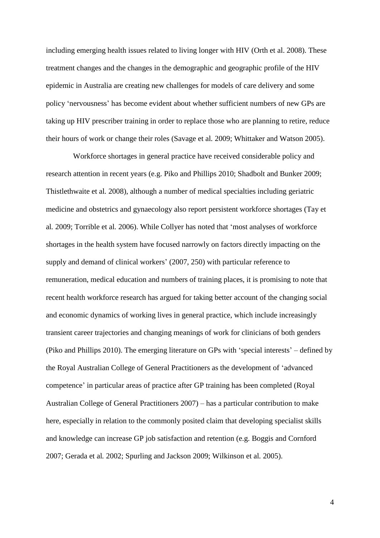including emerging health issues related to living longer with HIV (Orth et al. 2008). These treatment changes and the changes in the demographic and geographic profile of the HIV epidemic in Australia are creating new challenges for models of care delivery and some policy 'nervousness' has become evident about whether sufficient numbers of new GPs are taking up HIV prescriber training in order to replace those who are planning to retire, reduce their hours of work or change their roles (Savage et al*.* 2009; Whittaker and Watson 2005).

Workforce shortages in general practice have received considerable policy and research attention in recent years (e.g. Piko and Phillips 2010; Shadbolt and Bunker 2009; Thistlethwaite et al*.* 2008), although a number of medical specialties including geriatric medicine and obstetrics and gynaecology also report persistent workforce shortages (Tay et al*.* 2009; Torrible et al*.* 2006). While Collyer has noted that 'most analyses of workforce shortages in the health system have focused narrowly on factors directly impacting on the supply and demand of clinical workers' (2007, 250) with particular reference to remuneration, medical education and numbers of training places, it is promising to note that recent health workforce research has argued for taking better account of the changing social and economic dynamics of working lives in general practice, which include increasingly transient career trajectories and changing meanings of work for clinicians of both genders (Piko and Phillips 2010). The emerging literature on GPs with 'special interests' – defined by the Royal Australian College of General Practitioners as the development of 'advanced competence' in particular areas of practice after GP training has been completed (Royal Australian College of General Practitioners 2007) – has a particular contribution to make here, especially in relation to the commonly posited claim that developing specialist skills and knowledge can increase GP job satisfaction and retention (e.g. Boggis and Cornford 2007; Gerada et al*.* 2002; Spurling and Jackson 2009; Wilkinson et al*.* 2005).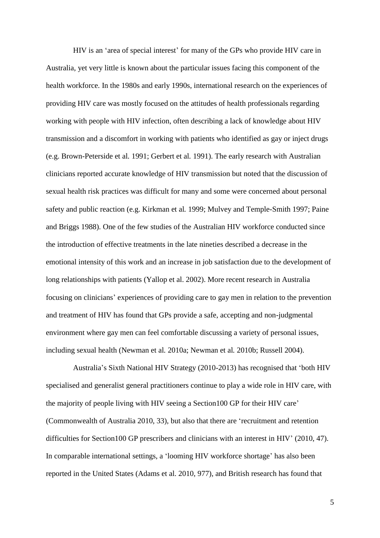HIV is an 'area of special interest' for many of the GPs who provide HIV care in Australia, yet very little is known about the particular issues facing this component of the health workforce. In the 1980s and early 1990s, international research on the experiences of providing HIV care was mostly focused on the attitudes of health professionals regarding working with people with HIV infection, often describing a lack of knowledge about HIV transmission and a discomfort in working with patients who identified as gay or inject drugs (e.g. Brown-Peterside et al*.* 1991; Gerbert et al*.* 1991). The early research with Australian clinicians reported accurate knowledge of HIV transmission but noted that the discussion of sexual health risk practices was difficult for many and some were concerned about personal safety and public reaction (e.g. Kirkman et al*.* 1999; Mulvey and Temple-Smith 1997; Paine and Briggs 1988). One of the few studies of the Australian HIV workforce conducted since the introduction of effective treatments in the late nineties described a decrease in the emotional intensity of this work and an increase in job satisfaction due to the development of long relationships with patients (Yallop et al. 2002). More recent research in Australia focusing on clinicians' experiences of providing care to gay men in relation to the prevention and treatment of HIV has found that GPs provide a safe, accepting and non-judgmental environment where gay men can feel comfortable discussing a variety of personal issues, including sexual health (Newman et al*.* 2010a; Newman et al*.* 2010b; Russell 2004).

Australia's Sixth National HIV Strategy (2010-2013) has recognised that 'both HIV specialised and generalist general practitioners continue to play a wide role in HIV care, with the majority of people living with HIV seeing a Section100 GP for their HIV care' (Commonwealth of Australia 2010, 33), but also that there are 'recruitment and retention difficulties for Section100 GP prescribers and clinicians with an interest in HIV' (2010, 47). In comparable international settings, a 'looming HIV workforce shortage' has also been reported in the United States (Adams et al. 2010, 977), and British research has found that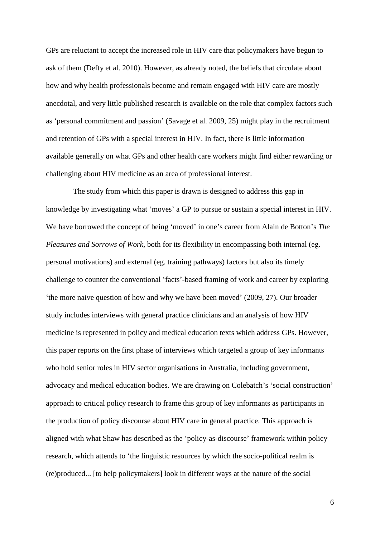GPs are reluctant to accept the increased role in HIV care that policymakers have begun to ask of them (Defty et al. 2010). However, as already noted, the beliefs that circulate about how and why health professionals become and remain engaged with HIV care are mostly anecdotal, and very little published research is available on the role that complex factors such as 'personal commitment and passion' (Savage et al. 2009, 25) might play in the recruitment and retention of GPs with a special interest in HIV. In fact, there is little information available generally on what GPs and other health care workers might find either rewarding or challenging about HIV medicine as an area of professional interest.

The study from which this paper is drawn is designed to address this gap in knowledge by investigating what 'moves' a GP to pursue or sustain a special interest in HIV. We have borrowed the concept of being 'moved' in one's career from Alain de Botton's *The Pleasures and Sorrows of Work*, both for its flexibility in encompassing both internal (eg. personal motivations) and external (eg. training pathways) factors but also its timely challenge to counter the conventional 'facts'-based framing of work and career by exploring 'the more naive question of how and why we have been moved' (2009, 27). Our broader study includes interviews with general practice clinicians and an analysis of how HIV medicine is represented in policy and medical education texts which address GPs. However, this paper reports on the first phase of interviews which targeted a group of key informants who hold senior roles in HIV sector organisations in Australia, including government, advocacy and medical education bodies. We are drawing on Colebatch's 'social construction' approach to critical policy research to frame this group of key informants as participants in the production of policy discourse about HIV care in general practice. This approach is aligned with what Shaw has described as the 'policy-as-discourse' framework within policy research, which attends to 'the linguistic resources by which the socio-political realm is (re)produced... [to help policymakers] look in different ways at the nature of the social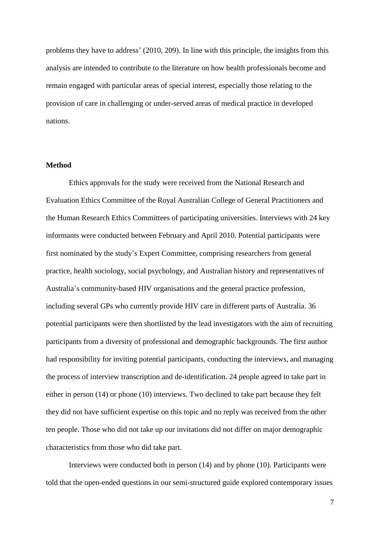problems they have to address' (2010, 209). In line with this principle, the insights from this analysis are intended to contribute to the literature on how health professionals become and remain engaged with particular areas of special interest, especially those relating to the provision of care in challenging or under-served areas of medical practice in developed nations.

#### **Method**

Ethics approvals for the study were received from the National Research and Evaluation Ethics Committee of the Royal Australian College of General Practitioners and the Human Research Ethics Committees of participating universities. Interviews with 24 key informants were conducted between February and April 2010. Potential participants were first nominated by the study's Expert Committee, comprising researchers from general practice, health sociology, social psychology, and Australian history and representatives of Australia's community-based HIV organisations and the general practice profession, including several GPs who currently provide HIV care in different parts of Australia. 36 potential participants were then shortlisted by the lead investigators with the aim of recruiting participants from a diversity of professional and demographic backgrounds. The first author had responsibility for inviting potential participants, conducting the interviews, and managing the process of interview transcription and de-identification. 24 people agreed to take part in either in person (14) or phone (10) interviews. Two declined to take part because they felt they did not have sufficient expertise on this topic and no reply was received from the other ten people. Those who did not take up our invitations did not differ on major demographic characteristics from those who did take part.

Interviews were conducted both in person (14) and by phone (10). Participants were told that the open-ended questions in our semi-structured guide explored contemporary issues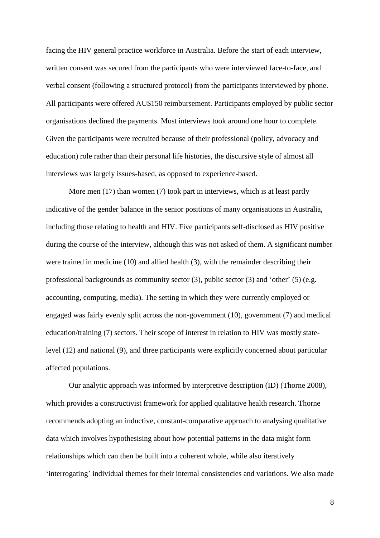facing the HIV general practice workforce in Australia. Before the start of each interview, written consent was secured from the participants who were interviewed face-to-face, and verbal consent (following a structured protocol) from the participants interviewed by phone. All participants were offered AU\$150 reimbursement. Participants employed by public sector organisations declined the payments. Most interviews took around one hour to complete. Given the participants were recruited because of their professional (policy, advocacy and education) role rather than their personal life histories, the discursive style of almost all interviews was largely issues-based, as opposed to experience-based.

More men (17) than women (7) took part in interviews, which is at least partly indicative of the gender balance in the senior positions of many organisations in Australia, including those relating to health and HIV. Five participants self-disclosed as HIV positive during the course of the interview, although this was not asked of them. A significant number were trained in medicine (10) and allied health (3), with the remainder describing their professional backgrounds as community sector (3), public sector (3) and 'other' (5) (e.g. accounting, computing, media). The setting in which they were currently employed or engaged was fairly evenly split across the non-government (10), government (7) and medical education/training (7) sectors. Their scope of interest in relation to HIV was mostly statelevel (12) and national (9), and three participants were explicitly concerned about particular affected populations.

Our analytic approach was informed by interpretive description (ID) (Thorne 2008), which provides a constructivist framework for applied qualitative health research. Thorne recommends adopting an inductive, constant-comparative approach to analysing qualitative data which involves hypothesising about how potential patterns in the data might form relationships which can then be built into a coherent whole, while also iteratively 'interrogating' individual themes for their internal consistencies and variations. We also made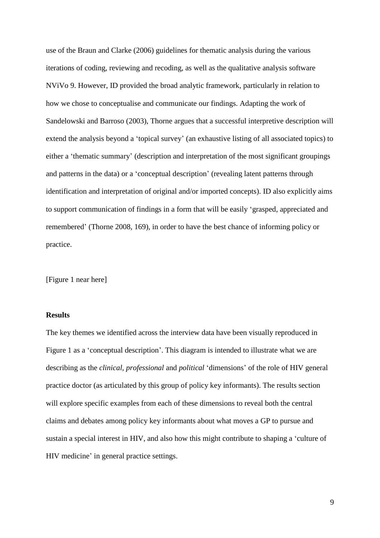use of the Braun and Clarke (2006) guidelines for thematic analysis during the various iterations of coding, reviewing and recoding, as well as the qualitative analysis software NViVo 9. However, ID provided the broad analytic framework, particularly in relation to how we chose to conceptualise and communicate our findings. Adapting the work of Sandelowski and Barroso (2003), Thorne argues that a successful interpretive description will extend the analysis beyond a 'topical survey' (an exhaustive listing of all associated topics) to either a 'thematic summary' (description and interpretation of the most significant groupings and patterns in the data) or a 'conceptual description' (revealing latent patterns through identification and interpretation of original and/or imported concepts). ID also explicitly aims to support communication of findings in a form that will be easily 'grasped, appreciated and remembered' (Thorne 2008, 169), in order to have the best chance of informing policy or practice.

[Figure 1 near here]

#### **Results**

The key themes we identified across the interview data have been visually reproduced in Figure 1 as a 'conceptual description'. This diagram is intended to illustrate what we are describing as the *clinical, professional* and *political* 'dimensions' of the role of HIV general practice doctor (as articulated by this group of policy key informants). The results section will explore specific examples from each of these dimensions to reveal both the central claims and debates among policy key informants about what moves a GP to pursue and sustain a special interest in HIV, and also how this might contribute to shaping a 'culture of HIV medicine' in general practice settings.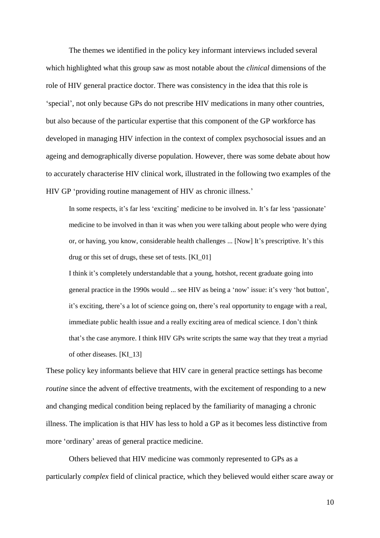The themes we identified in the policy key informant interviews included several which highlighted what this group saw as most notable about the *clinical* dimensions of the role of HIV general practice doctor. There was consistency in the idea that this role is 'special', not only because GPs do not prescribe HIV medications in many other countries, but also because of the particular expertise that this component of the GP workforce has developed in managing HIV infection in the context of complex psychosocial issues and an ageing and demographically diverse population. However, there was some debate about how to accurately characterise HIV clinical work, illustrated in the following two examples of the HIV GP 'providing routine management of HIV as chronic illness.'

In some respects, it's far less 'exciting' medicine to be involved in. It's far less 'passionate' medicine to be involved in than it was when you were talking about people who were dying or, or having, you know, considerable health challenges ... [Now] It's prescriptive. It's this drug or this set of drugs, these set of tests. [KI\_01]

I think it's completely understandable that a young, hotshot, recent graduate going into general practice in the 1990s would ... see HIV as being a 'now' issue: it's very 'hot button', it's exciting, there's a lot of science going on, there's real opportunity to engage with a real, immediate public health issue and a really exciting area of medical science. I don't think that's the case anymore. I think HIV GPs write scripts the same way that they treat a myriad of other diseases. [KI\_13]

These policy key informants believe that HIV care in general practice settings has become *routine* since the advent of effective treatments, with the excitement of responding to a new and changing medical condition being replaced by the familiarity of managing a chronic illness. The implication is that HIV has less to hold a GP as it becomes less distinctive from more 'ordinary' areas of general practice medicine.

Others believed that HIV medicine was commonly represented to GPs as a particularly *complex* field of clinical practice, which they believed would either scare away or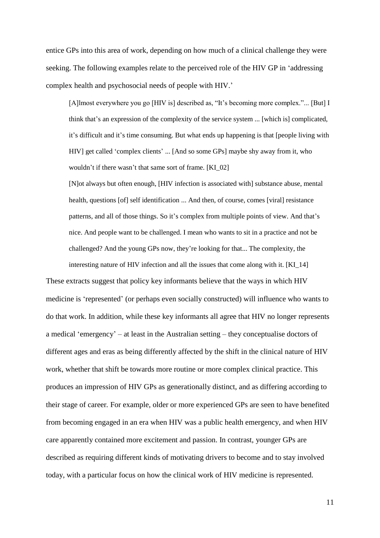entice GPs into this area of work, depending on how much of a clinical challenge they were seeking. The following examples relate to the perceived role of the HIV GP in 'addressing complex health and psychosocial needs of people with HIV.'

[A]lmost everywhere you go [HIV is] described as, "It's becoming more complex."... [But] I think that's an expression of the complexity of the service system ... [which is] complicated, it's difficult and it's time consuming. But what ends up happening is that [people living with HIV] get called 'complex clients' ... [And so some GPs] maybe shy away from it, who wouldn't if there wasn't that same sort of frame. [KI\_02]

[N]ot always but often enough, [HIV infection is associated with] substance abuse, mental health, questions [of] self identification ... And then, of course, comes [viral] resistance patterns, and all of those things. So it's complex from multiple points of view. And that's nice. And people want to be challenged. I mean who wants to sit in a practice and not be challenged? And the young GPs now, they're looking for that... The complexity, the interesting nature of HIV infection and all the issues that come along with it. [KI\_14]

These extracts suggest that policy key informants believe that the ways in which HIV medicine is 'represented' (or perhaps even socially constructed) will influence who wants to do that work. In addition, while these key informants all agree that HIV no longer represents a medical 'emergency' – at least in the Australian setting – they conceptualise doctors of different ages and eras as being differently affected by the shift in the clinical nature of HIV work, whether that shift be towards more routine or more complex clinical practice. This produces an impression of HIV GPs as generationally distinct, and as differing according to their stage of career*.* For example, older or more experienced GPs are seen to have benefited from becoming engaged in an era when HIV was a public health emergency, and when HIV care apparently contained more excitement and passion. In contrast, younger GPs are described as requiring different kinds of motivating drivers to become and to stay involved today, with a particular focus on how the clinical work of HIV medicine is represented.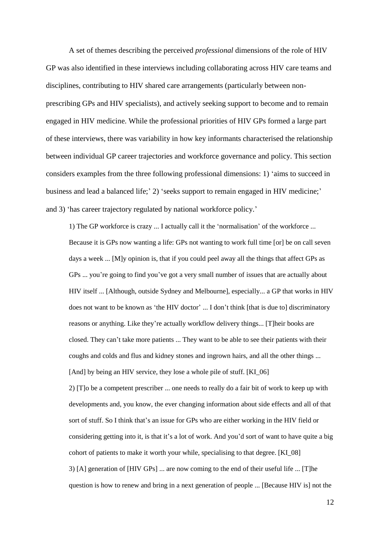A set of themes describing the perceived *professional* dimensions of the role of HIV GP was also identified in these interviews including collaborating across HIV care teams and disciplines, contributing to HIV shared care arrangements (particularly between nonprescribing GPs and HIV specialists), and actively seeking support to become and to remain engaged in HIV medicine. While the professional priorities of HIV GPs formed a large part of these interviews, there was variability in how key informants characterised the relationship between individual GP career trajectories and workforce governance and policy. This section considers examples from the three following professional dimensions: 1) 'aims to succeed in business and lead a balanced life;' 2) 'seeks support to remain engaged in HIV medicine;' and 3) 'has career trajectory regulated by national workforce policy.'

1) The GP workforce is crazy ... I actually call it the 'normalisation' of the workforce ... Because it is GPs now wanting a life: GPs not wanting to work full time [or] be on call seven days a week ... [M]y opinion is, that if you could peel away all the things that affect GPs as GPs ... you're going to find you've got a very small number of issues that are actually about HIV itself ... [Although, outside Sydney and Melbourne], especially... a GP that works in HIV does not want to be known as 'the HIV doctor' ... I don't think [that is due to] discriminatory reasons or anything. Like they're actually workflow delivery things... [T]heir books are closed. They can't take more patients ... They want to be able to see their patients with their coughs and colds and flus and kidney stones and ingrown hairs, and all the other things ... [And] by being an HIV service, they lose a whole pile of stuff. [KI\_06]

2) [T]o be a competent prescriber ... one needs to really do a fair bit of work to keep up with developments and, you know, the ever changing information about side effects and all of that sort of stuff. So I think that's an issue for GPs who are either working in the HIV field or considering getting into it, is that it's a lot of work. And you'd sort of want to have quite a big cohort of patients to make it worth your while, specialising to that degree. [KI\_08] 3) [A] generation of [HIV GPs] ... are now coming to the end of their useful life ... [T]he question is how to renew and bring in a next generation of people ... [Because HIV is] not the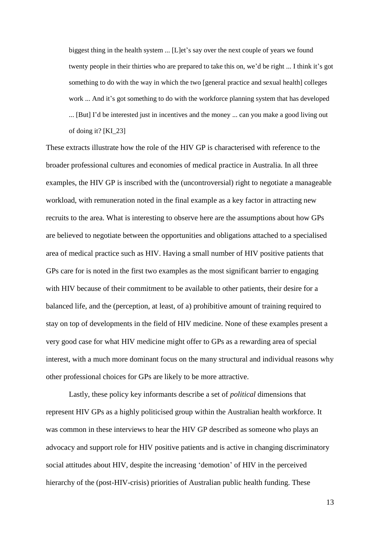biggest thing in the health system ... [L]et's say over the next couple of years we found twenty people in their thirties who are prepared to take this on, we'd be right ... I think it's got something to do with the way in which the two [general practice and sexual health] colleges work ... And it's got something to do with the workforce planning system that has developed ... [But] I'd be interested just in incentives and the money ... can you make a good living out of doing it? [KI\_23]

These extracts illustrate how the role of the HIV GP is characterised with reference to the broader professional cultures and economies of medical practice in Australia. In all three examples, the HIV GP is inscribed with the (uncontroversial) right to negotiate a manageable workload, with remuneration noted in the final example as a key factor in attracting new recruits to the area. What is interesting to observe here are the assumptions about how GPs are believed to negotiate between the opportunities and obligations attached to a specialised area of medical practice such as HIV. Having a small number of HIV positive patients that GPs care for is noted in the first two examples as the most significant barrier to engaging with HIV because of their commitment to be available to other patients, their desire for a balanced life, and the (perception, at least, of a) prohibitive amount of training required to stay on top of developments in the field of HIV medicine. None of these examples present a very good case for what HIV medicine might offer to GPs as a rewarding area of special interest, with a much more dominant focus on the many structural and individual reasons why other professional choices for GPs are likely to be more attractive.

Lastly, these policy key informants describe a set of *political* dimensions that represent HIV GPs as a highly politicised group within the Australian health workforce. It was common in these interviews to hear the HIV GP described as someone who plays an advocacy and support role for HIV positive patients and is active in changing discriminatory social attitudes about HIV, despite the increasing 'demotion' of HIV in the perceived hierarchy of the (post-HIV-crisis) priorities of Australian public health funding. These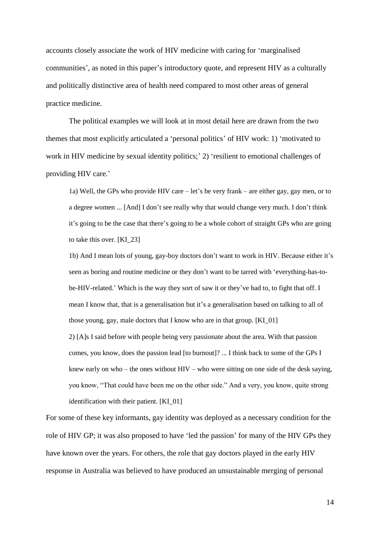accounts closely associate the work of HIV medicine with caring for 'marginalised communities', as noted in this paper's introductory quote, and represent HIV as a culturally and politically distinctive area of health need compared to most other areas of general practice medicine.

The political examples we will look at in most detail here are drawn from the two themes that most explicitly articulated a 'personal politics' of HIV work: 1) 'motivated to work in HIV medicine by sexual identity politics;' 2) 'resilient to emotional challenges of providing HIV care.'

1a) Well, the GPs who provide HIV care – let's be very frank – are either gay, gay men, or to a degree women ... [And] I don't see really why that would change very much. I don't think it's going to be the case that there's going to be a whole cohort of straight GPs who are going to take this over. [KI\_23]

1b) And I mean lots of young, gay-boy doctors don't want to work in HIV. Because either it's seen as boring and routine medicine or they don't want to be tarred with 'everything-has-tobe-HIV-related.' Which is the way they sort of saw it or they've had to, to fight that off. I mean I know that, that is a generalisation but it's a generalisation based on talking to all of those young, gay, male doctors that I know who are in that group. [KI\_01]

2) [A]s I said before with people being very passionate about the area. With that passion comes, you know, does the passion lead [to burnout]? ... I think back to some of the GPs I knew early on who – the ones without HIV – who were sitting on one side of the desk saying, you know, "That could have been me on the other side." And a very, you know, quite strong identification with their patient. [KI\_01]

For some of these key informants, gay identity was deployed as a necessary condition for the role of HIV GP; it was also proposed to have 'led the passion' for many of the HIV GPs they have known over the years. For others, the role that gay doctors played in the early HIV response in Australia was believed to have produced an unsustainable merging of personal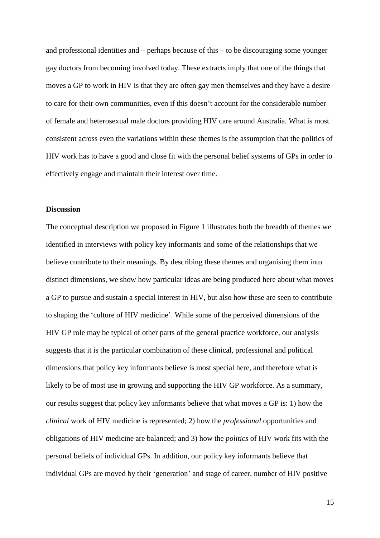and professional identities and – perhaps because of this – to be discouraging some younger gay doctors from becoming involved today. These extracts imply that one of the things that moves a GP to work in HIV is that they are often gay men themselves and they have a desire to care for their own communities, even if this doesn't account for the considerable number of female and heterosexual male doctors providing HIV care around Australia. What is most consistent across even the variations within these themes is the assumption that the politics of HIV work has to have a good and close fit with the personal belief systems of GPs in order to effectively engage and maintain their interest over time.

#### **Discussion**

The conceptual description we proposed in Figure 1 illustrates both the breadth of themes we identified in interviews with policy key informants and some of the relationships that we believe contribute to their meanings. By describing these themes and organising them into distinct dimensions, we show how particular ideas are being produced here about what moves a GP to pursue and sustain a special interest in HIV, but also how these are seen to contribute to shaping the 'culture of HIV medicine'. While some of the perceived dimensions of the HIV GP role may be typical of other parts of the general practice workforce, our analysis suggests that it is the particular combination of these clinical, professional and political dimensions that policy key informants believe is most special here, and therefore what is likely to be of most use in growing and supporting the HIV GP workforce. As a summary, our results suggest that policy key informants believe that what moves a GP is: 1) how the *clinical* work of HIV medicine is represented; 2) how the *professional* opportunities and obligations of HIV medicine are balanced; and 3) how the *politics* of HIV work fits with the personal beliefs of individual GPs. In addition, our policy key informants believe that individual GPs are moved by their 'generation' and stage of career, number of HIV positive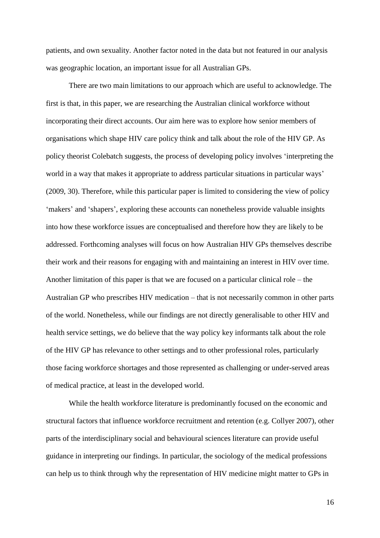patients, and own sexuality. Another factor noted in the data but not featured in our analysis was geographic location, an important issue for all Australian GPs.

There are two main limitations to our approach which are useful to acknowledge. The first is that, in this paper, we are researching the Australian clinical workforce without incorporating their direct accounts. Our aim here was to explore how senior members of organisations which shape HIV care policy think and talk about the role of the HIV GP. As policy theorist Colebatch suggests, the process of developing policy involves 'interpreting the world in a way that makes it appropriate to address particular situations in particular ways' (2009, 30). Therefore, while this particular paper is limited to considering the view of policy 'makers' and 'shapers', exploring these accounts can nonetheless provide valuable insights into how these workforce issues are conceptualised and therefore how they are likely to be addressed. Forthcoming analyses will focus on how Australian HIV GPs themselves describe their work and their reasons for engaging with and maintaining an interest in HIV over time. Another limitation of this paper is that we are focused on a particular clinical role – the Australian GP who prescribes HIV medication – that is not necessarily common in other parts of the world. Nonetheless, while our findings are not directly generalisable to other HIV and health service settings, we do believe that the way policy key informants talk about the role of the HIV GP has relevance to other settings and to other professional roles, particularly those facing workforce shortages and those represented as challenging or under-served areas of medical practice, at least in the developed world.

While the health workforce literature is predominantly focused on the economic and structural factors that influence workforce recruitment and retention (e.g. Collyer 2007), other parts of the interdisciplinary social and behavioural sciences literature can provide useful guidance in interpreting our findings. In particular, the sociology of the medical professions can help us to think through why the representation of HIV medicine might matter to GPs in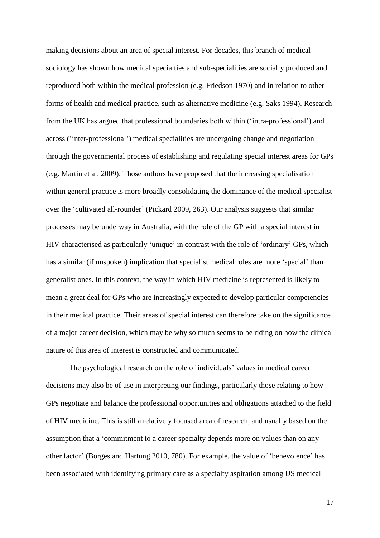making decisions about an area of special interest. For decades, this branch of medical sociology has shown how medical specialties and sub-specialities are socially produced and reproduced both within the medical profession (e.g. Friedson 1970) and in relation to other forms of health and medical practice, such as alternative medicine (e.g. Saks 1994). Research from the UK has argued that professional boundaries both within ('intra-professional') and across ('inter-professional') medical specialities are undergoing change and negotiation through the governmental process of establishing and regulating special interest areas for GPs (e.g. Martin et al. 2009). Those authors have proposed that the increasing specialisation within general practice is more broadly consolidating the dominance of the medical specialist over the 'cultivated all-rounder' (Pickard 2009, 263). Our analysis suggests that similar processes may be underway in Australia, with the role of the GP with a special interest in HIV characterised as particularly 'unique' in contrast with the role of 'ordinary' GPs, which has a similar (if unspoken) implication that specialist medical roles are more 'special' than generalist ones. In this context, the way in which HIV medicine is represented is likely to mean a great deal for GPs who are increasingly expected to develop particular competencies in their medical practice. Their areas of special interest can therefore take on the significance of a major career decision, which may be why so much seems to be riding on how the clinical nature of this area of interest is constructed and communicated.

The psychological research on the role of individuals' values in medical career decisions may also be of use in interpreting our findings, particularly those relating to how GPs negotiate and balance the professional opportunities and obligations attached to the field of HIV medicine. This is still a relatively focused area of research, and usually based on the assumption that a 'commitment to a career specialty depends more on values than on any other factor' (Borges and Hartung 2010, 780). For example, the value of 'benevolence' has been associated with identifying primary care as a specialty aspiration among US medical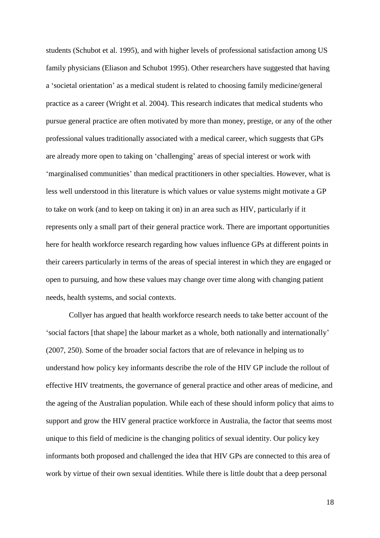students (Schubot et al. 1995), and with higher levels of professional satisfaction among US family physicians (Eliason and Schubot 1995). Other researchers have suggested that having a 'societal orientation' as a medical student is related to choosing family medicine/general practice as a career (Wright et al. 2004). This research indicates that medical students who pursue general practice are often motivated by more than money, prestige, or any of the other professional values traditionally associated with a medical career, which suggests that GPs are already more open to taking on 'challenging' areas of special interest or work with 'marginalised communities' than medical practitioners in other specialties. However, what is less well understood in this literature is which values or value systems might motivate a GP to take on work (and to keep on taking it on) in an area such as HIV, particularly if it represents only a small part of their general practice work. There are important opportunities here for health workforce research regarding how values influence GPs at different points in their careers particularly in terms of the areas of special interest in which they are engaged or open to pursuing, and how these values may change over time along with changing patient needs, health systems, and social contexts.

Collyer has argued that health workforce research needs to take better account of the 'social factors [that shape] the labour market as a whole, both nationally and internationally' (2007, 250). Some of the broader social factors that are of relevance in helping us to understand how policy key informants describe the role of the HIV GP include the rollout of effective HIV treatments, the governance of general practice and other areas of medicine, and the ageing of the Australian population. While each of these should inform policy that aims to support and grow the HIV general practice workforce in Australia, the factor that seems most unique to this field of medicine is the changing politics of sexual identity. Our policy key informants both proposed and challenged the idea that HIV GPs are connected to this area of work by virtue of their own sexual identities. While there is little doubt that a deep personal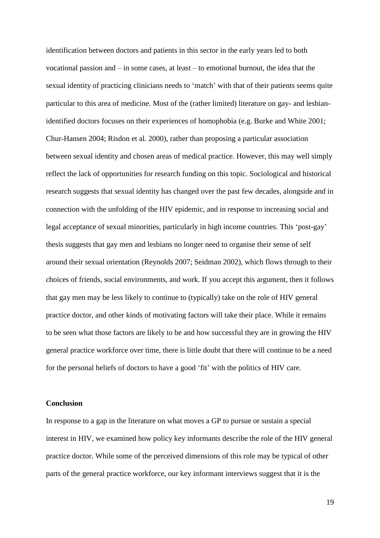identification between doctors and patients in this sector in the early years led to both vocational passion and – in some cases, at least – to emotional burnout, the idea that the sexual identity of practicing clinicians needs to 'match' with that of their patients seems quite particular to this area of medicine. Most of the (rather limited) literature on gay- and lesbianidentified doctors focuses on their experiences of homophobia (e.g. Burke and White 2001; Chur-Hansen 2004; Risdon et al*.* 2000), rather than proposing a particular association between sexual identity and chosen areas of medical practice. However, this may well simply reflect the lack of opportunities for research funding on this topic. Sociological and historical research suggests that sexual identity has changed over the past few decades, alongside and in connection with the unfolding of the HIV epidemic, and in response to increasing social and legal acceptance of sexual minorities, particularly in high income countries. This 'post-gay' thesis suggests that gay men and lesbians no longer need to organise their sense of self around their sexual orientation (Reynolds 2007; Seidman 2002), which flows through to their choices of friends, social environments, and work. If you accept this argument, then it follows that gay men may be less likely to continue to (typically) take on the role of HIV general practice doctor, and other kinds of motivating factors will take their place. While it remains to be seen what those factors are likely to be and how successful they are in growing the HIV general practice workforce over time, there is little doubt that there will continue to be a need for the personal beliefs of doctors to have a good 'fit' with the politics of HIV care.

#### **Conclusion**

In response to a gap in the literature on what moves a GP to pursue or sustain a special interest in HIV, we examined how policy key informants describe the role of the HIV general practice doctor. While some of the perceived dimensions of this role may be typical of other parts of the general practice workforce, our key informant interviews suggest that it is the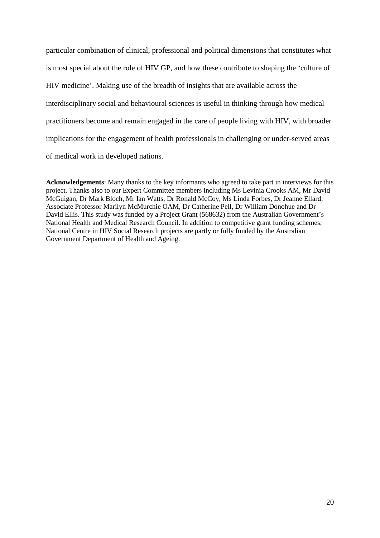particular combination of clinical, professional and political dimensions that constitutes what is most special about the role of HIV GP, and how these contribute to shaping the 'culture of HIV medicine'. Making use of the breadth of insights that are available across the interdisciplinary social and behavioural sciences is useful in thinking through how medical practitioners become and remain engaged in the care of people living with HIV, with broader implications for the engagement of health professionals in challenging or under-served areas of medical work in developed nations.

**Acknowledgements**: Many thanks to the key informants who agreed to take part in interviews for this project. Thanks also to our Expert Committee members including Ms Levinia Crooks AM, Mr David McGuigan, Dr Mark Bloch, Mr Ian Watts, Dr Ronald McCoy, Ms Linda Forbes, Dr Jeanne Ellard, Associate Professor Marilyn McMurchie OAM, Dr Catherine Pell, Dr William Donohue and Dr David Ellis. This study was funded by a Project Grant (568632) from the Australian Government's National Health and Medical Research Council. In addition to competitive grant funding schemes, National Centre in HIV Social Research projects are partly or fully funded by the Australian Government Department of Health and Ageing.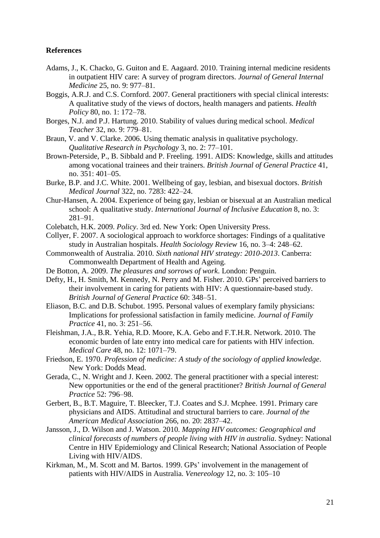#### **References**

- Adams, J., K. Chacko, G. Guiton and E. Aagaard. 2010. Training internal medicine residents in outpatient HIV care: A survey of program directors. *Journal of General Internal Medicine* 25, no. 9: 977–81.
- Boggis, A.R.J. and C.S. Cornford. 2007. General practitioners with special clinical interests: A qualitative study of the views of doctors, health managers and patients. *Health Policy* 80, no. 1: 172–78.
- Borges, N.J. and P.J. Hartung. 2010. Stability of values during medical school. *Medical Teacher* 32, no. 9: 779–81.
- Braun, V. and V. Clarke. 2006. Using thematic analysis in qualitative psychology. *Qualitative Research in Psychology* 3, no. 2: 77–101.
- Brown-Peterside, P., B. Sibbald and P. Freeling. 1991. AIDS: Knowledge, skills and attitudes among vocational trainees and their trainers. *British Journal of General Practice* 41, no. 351: 401–05.
- Burke, B.P. and J.C. White. 2001. Wellbeing of gay, lesbian, and bisexual doctors. *British Medical Journal* 322, no. 7283: 422–24.
- Chur-Hansen, A. 2004. Experience of being gay, lesbian or bisexual at an Australian medical school: A qualitative study. *International Journal of Inclusive Education* 8, no. 3: 281–91.
- Colebatch, H.K. 2009. *Policy*. 3rd ed. New York: Open University Press.
- Collyer, F. 2007. A sociological approach to workforce shortages: Findings of a qualitative study in Australian hospitals. *Health Sociology Review* 16, no. 3–4: 248–62.
- Commonwealth of Australia. 2010. *Sixth national HIV strategy: 2010-2013*. Canberra: Commonwealth Department of Health and Ageing.
- De Botton, A. 2009. *The pleasures and sorrows of work*. London: Penguin.
- Defty, H., H. Smith, M. Kennedy, N. Perry and M. Fisher. 2010. GPs' perceived barriers to their involvement in caring for patients with HIV: A questionnaire-based study. *British Journal of General Practice* 60: 348–51.
- Eliason, B.C. and D.B. Schubot. 1995. Personal values of exemplary family physicians: Implications for professional satisfaction in family medicine. *Journal of Family Practice* 41, no. 3: 251–56.
- Fleishman, J.A., B.R. Yehia, R.D. Moore, K.A. Gebo and F.T.H.R. Network. 2010. The economic burden of late entry into medical care for patients with HIV infection. *Medical Care* 48, no. 12: 1071–79.
- Friedson, E. 1970. *Profession of medicine: A study of the sociology of applied knowledge*. New York: Dodds Mead.
- Gerada, C., N. Wright and J. Keen. 2002. The general practitioner with a special interest: New opportunities or the end of the general practitioner? *British Journal of General Practice* 52: 796–98.
- Gerbert, B., B.T. Maguire, T. Bleecker, T.J. Coates and S.J. Mcphee. 1991. Primary care physicians and AIDS. Attitudinal and structural barriers to care. *Journal of the American Medical Association* 266, no. 20: 2837–42.
- Jansson, J., D. Wilson and J. Watson. 2010. *Mapping HIV outcomes: Geographical and clinical forecasts of numbers of people living with HIV in australia*. Sydney: National Centre in HIV Epidemiology and Clinical Research; National Association of People Living with HIV/AIDS.
- Kirkman, M., M. Scott and M. Bartos. 1999. GPs' involvement in the management of patients with HIV/AIDS in Australia. *Venereology* 12, no. 3: 105–10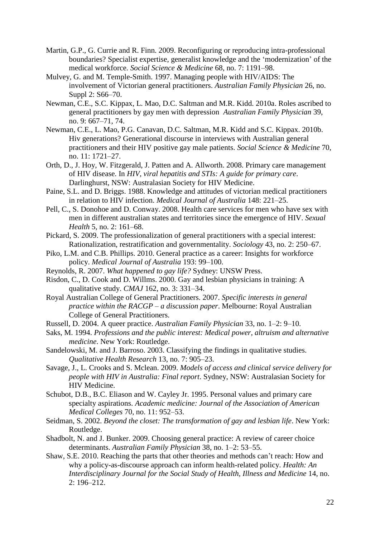- Martin, G.P., G. Currie and R. Finn. 2009. Reconfiguring or reproducing intra-professional boundaries? Specialist expertise, generalist knowledge and the 'modernization' of the medical workforce. *Social Science & Medicine* 68, no. 7: 1191–98.
- Mulvey, G. and M. Temple-Smith. 1997. Managing people with HIV/AIDS: The involvement of Victorian general practitioners. *Australian Family Physician* 26, no. Suppl 2: S66–70.
- Newman, C.E., S.C. Kippax, L. Mao, D.C. Saltman and M.R. Kidd. 2010a. Roles ascribed to general practitioners by gay men with depression *Australian Family Physician* 39, no. 9: 667–71, 74.
- Newman, C.E., L. Mao, P.G. Canavan, D.C. Saltman, M.R. Kidd and S.C. Kippax. 2010b. Hiv generations? Generational discourse in interviews with Australian general practitioners and their HIV positive gay male patients. *Social Science & Medicine* 70, no. 11: 1721–27.
- Orth, D., J. Hoy, W. Fitzgerald, J. Patten and A. Allworth. 2008. Primary care management of HIV disease. In *HIV, viral hepatitis and STIs: A guide for primary care*. Darlinghurst, NSW: Australasian Society for HIV Medicine.
- Paine, S.L. and D. Briggs. 1988. Knowledge and attitudes of victorian medical practitioners in relation to HIV infection. *Medical Journal of Australia* 148: 221–25.
- Pell, C., S. Donohoe and D. Conway. 2008. Health care services for men who have sex with men in different australian states and territories since the emergence of HIV. *Sexual Health* 5, no. 2: 161–68.
- Pickard, S. 2009. The professionalization of general practitioners with a special interest: Rationalization, restratification and governmentality. *Sociology* 43, no. 2: 250–67.
- Piko, L.M. and C.B. Phillips. 2010. General practice as a career: Insights for workforce policy. *Medical Journal of Australia* 193: 99–100.
- Reynolds, R. 2007. *What happened to gay life?* Sydney: UNSW Press.
- Risdon, C., D. Cook and D. Willms. 2000. Gay and lesbian physicians in training: A qualitative study. *CMAJ* 162, no. 3: 331–34.
- Royal Australian College of General Practitioners. 2007. *Specific interests in general practice within the RACGP – a discussion paper*. Melbourne: Royal Australian College of General Practitioners.
- Russell, D. 2004. A queer practice. *Australian Family Physician* 33, no. 1–2: 9–10.
- Saks, M. 1994. *Professions and the public interest: Medical power, altruism and alternative medicine*. New York: Routledge.
- Sandelowski, M. and J. Barroso. 2003. Classifying the findings in qualitative studies. *Qualitative Health Research* 13, no. 7: 905–23.
- Savage, J., L. Crooks and S. Mclean. 2009. *Models of access and clinical service delivery for people with HIV in Australia: Final report*. Sydney, NSW: Australasian Society for HIV Medicine.
- Schubot, D.B., B.C. Eliason and W. Cayley Jr. 1995. Personal values and primary care specialty aspirations. *Academic medicine: Journal of the Association of American Medical Colleges* 70, no. 11: 952–53.
- Seidman, S. 2002. *Beyond the closet: The transformation of gay and lesbian life*. New York: Routledge.
- Shadbolt, N. and J. Bunker. 2009. Choosing general practice: A review of career choice determinants. *Australian Family Physician* 38, no. 1–2: 53–55.
- Shaw, S.E. 2010. Reaching the parts that other theories and methods can't reach: How and why a policy-as-discourse approach can inform health-related policy. *Health: An Interdisciplinary Journal for the Social Study of Health, Illness and Medicine* 14, no. 2: 196–212.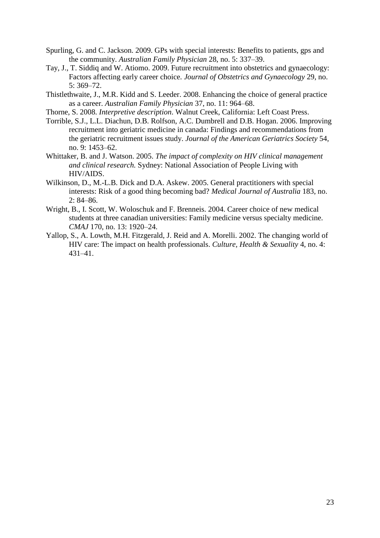- Spurling, G. and C. Jackson. 2009. GPs with special interests: Benefits to patients, gps and the community. *Australian Family Physician* 28, no. 5: 337–39.
- Tay, J., T. Siddiq and W. Atiomo. 2009. Future recruitment into obstetrics and gynaecology: Factors affecting early career choice. *Journal of Obstetrics and Gynaecology* 29, no. 5: 369–72.
- Thistlethwaite, J., M.R. Kidd and S. Leeder. 2008. Enhancing the choice of general practice as a career. *Australian Family Physician* 37, no. 11: 964–68.
- Thorne, S. 2008. *Interpretive description*. Walnut Creek, California: Left Coast Press.
- Torrible, S.J., L.L. Diachun, D.B. Rolfson, A.C. Dumbrell and D.B. Hogan. 2006. Improving recruitment into geriatric medicine in canada: Findings and recommendations from the geriatric recruitment issues study. *Journal of the American Geriatrics Society* 54, no. 9: 1453–62.
- Whittaker, B. and J. Watson. 2005. *The impact of complexity on HIV clinical management and clinical research.* Sydney: National Association of People Living with HIV/AIDS.
- Wilkinson, D., M.-L.B. Dick and D.A. Askew. 2005. General practitioners with special interests: Risk of a good thing becoming bad? *Medical Journal of Australia* 183, no. 2: 84–86.
- Wright, B., I. Scott, W. Woloschuk and F. Brenneis. 2004. Career choice of new medical students at three canadian universities: Family medicine versus specialty medicine. *CMAJ* 170, no. 13: 1920–24.
- Yallop, S., A. Lowth, M.H. Fitzgerald, J. Reid and A. Morelli. 2002. The changing world of HIV care: The impact on health professionals. *Culture, Health & Sexuality* 4, no. 4: 431–41.